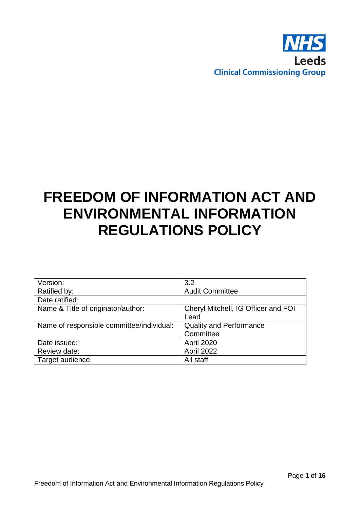

# **FREEDOM OF INFORMATION ACT AND ENVIRONMENTAL INFORMATION REGULATIONS POLICY**

| Version:                                  | 3.2                                         |  |
|-------------------------------------------|---------------------------------------------|--|
| Ratified by:                              | <b>Audit Committee</b>                      |  |
| Date ratified:                            |                                             |  |
| Name & Title of originator/author:        | Cheryl Mitchell, IG Officer and FOI<br>Lead |  |
| Name of responsible committee/individual: | <b>Quality and Performance</b><br>Committee |  |
| Date issued:                              | April 2020                                  |  |
| Review date:                              | April 2022                                  |  |
| Target audience:                          | All staff                                   |  |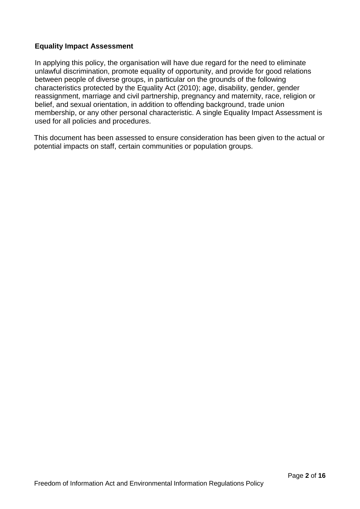## **Equality Impact Assessment**

In applying this policy, the organisation will have due regard for the need to eliminate unlawful discrimination, promote equality of opportunity, and provide for good relations between people of diverse groups, in particular on the grounds of the following characteristics protected by the Equality Act (2010); age, disability, gender, gender reassignment, marriage and civil partnership, pregnancy and maternity, race, religion or belief, and sexual orientation, in addition to offending background, trade union membership, or any other personal characteristic. A single Equality Impact Assessment is used for all policies and procedures.

This document has been assessed to ensure consideration has been given to the actual or potential impacts on staff, certain communities or population groups.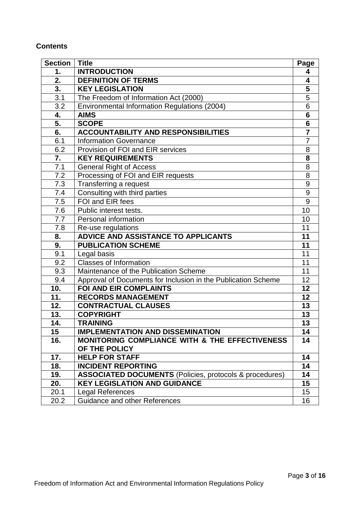## **Contents**

| <b>Section</b>   | <b>Title</b>                                                   | Page                    |
|------------------|----------------------------------------------------------------|-------------------------|
| 1.               | <b>INTRODUCTION</b>                                            | 4                       |
| 2.               | <b>DEFINITION OF TERMS</b>                                     | 4                       |
| 3.               | <b>KEY LEGISLATION</b>                                         | $\overline{\mathbf{5}}$ |
| 3.1              | The Freedom of Information Act (2000)                          | $\overline{5}$          |
| 3.2              | Environmental Information Regulations (2004)                   | 6                       |
| 4.               | <b>AIMS</b>                                                    | $6\phantom{1}$          |
| 5.               | <b>SCOPE</b>                                                   | $\overline{\mathbf{6}}$ |
| 6.               | <b>ACCOUNTABILITY AND RESPONSIBILITIES</b>                     | $\overline{7}$          |
| 6.1              | <b>Information Governance</b>                                  | $\overline{7}$          |
| 6.2              | Provision of FOI and EIR services                              | 8                       |
| 7.               | <b>KEY REQUIREMENTS</b>                                        | 8                       |
| 7.1              | <b>General Right of Access</b>                                 | 8                       |
| 7.2              | Processing of FOI and EIR requests                             | $\overline{8}$          |
| 7.3              | Transferring a request                                         | 9                       |
| 7.4              | Consulting with third parties                                  | 9                       |
| 7.5              | FOI and EIR fees                                               | 9                       |
| 7.6              | Public interest tests.                                         | $\overline{10}$         |
| 7.7              | Personal information                                           | 10                      |
| 7.8              | Re-use regulations                                             | 11                      |
| 8.               | ADVICE AND ASSISTANCE TO APPLICANTS                            | 11                      |
| 9.               | <b>PUBLICATION SCHEME</b>                                      | 11                      |
| 9.1              | Legal basis                                                    | 11                      |
| 9.2              | <b>Classes of Information</b>                                  | 11                      |
| $\overline{9.3}$ | Maintenance of the Publication Scheme                          | 11                      |
| 9.4              | Approval of Documents for Inclusion in the Publication Scheme  | 12                      |
| 10.              | <b>FOI AND EIR COMPLAINTS</b>                                  | 12                      |
| 11.              | <b>RECORDS MANAGEMENT</b>                                      | 12                      |
| 12.              | <b>CONTRACTUAL CLAUSES</b>                                     | 13                      |
| 13.              | <b>COPYRIGHT</b>                                               | 13                      |
| 14.              | <b>TRAINING</b>                                                | 13                      |
| 15               | <b>IMPLEMENTATION AND DISSEMINATION</b>                        | 14                      |
| 16.              | <b>MONITORING COMPLIANCE WITH &amp; THE EFFECTIVENESS</b>      | 14                      |
|                  | OF THE POLICY                                                  |                         |
| 17.              | <b>HELP FOR STAFF</b>                                          | 14                      |
| 18.              | <b>INCIDENT REPORTING</b>                                      | 14                      |
| 19.              | <b>ASSOCIATED DOCUMENTS</b> (Policies, protocols & procedures) | 14                      |
| 20.              | <b>KEY LEGISLATION AND GUIDANCE</b>                            | 15                      |
| 20.1             | <b>Legal References</b>                                        | 15                      |
| 20.2             | <b>Guidance and other References</b>                           | 16                      |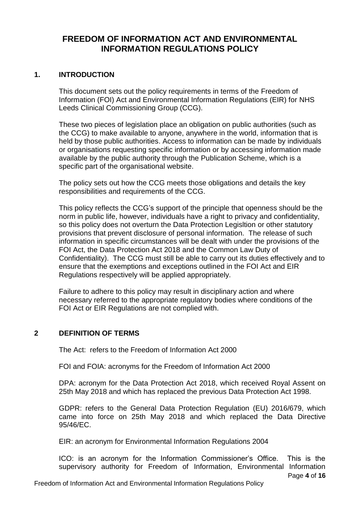# **FREEDOM OF INFORMATION ACT AND ENVIRONMENTAL INFORMATION REGULATIONS POLICY**

## **1. INTRODUCTION**

This document sets out the policy requirements in terms of the Freedom of Information (FOI) Act and Environmental Information Regulations (EIR) for NHS Leeds Clinical Commissioning Group (CCG).

These two pieces of legislation place an obligation on public authorities (such as the CCG) to make available to anyone, anywhere in the world, information that is held by those public authorities. Access to information can be made by individuals or organisations requesting specific information or by accessing information made available by the public authority through the Publication Scheme, which is a specific part of the organisational website.

The policy sets out how the CCG meets those obligations and details the key responsibilities and requirements of the CCG.

This policy reflects the CCG's support of the principle that openness should be the norm in public life, however, individuals have a right to privacy and confidentiality, so this policy does not overturn the Data Protection Legisltion or other statutory provisions that prevent disclosure of personal information. The release of such information in specific circumstances will be dealt with under the provisions of the FOI Act, the Data Protection Act 2018 and the Common Law Duty of Confidentiality). The CCG must still be able to carry out its duties effectively and to ensure that the exemptions and exceptions outlined in the FOI Act and EIR Regulations respectively will be applied appropriately.

Failure to adhere to this policy may result in disciplinary action and where necessary referred to the appropriate regulatory bodies where conditions of the FOI Act or EIR Regulations are not complied with.

## **2 DEFINITION OF TERMS**

The Act: refers to the Freedom of Information Act 2000

FOI and FOIA: acronyms for the Freedom of Information Act 2000

DPA: acronym for the Data Protection Act 2018, which received Royal Assent on 25th May 2018 and which has replaced the previous Data Protection Act 1998.

GDPR: refers to the General Data Protection Regulation (EU) 2016/679, which came into force on 25th May 2018 and which replaced the Data Directive 95/46/EC.

EIR: an acronym for Environmental Information Regulations 2004

Page **4** of **16** ICO: is an acronym for the Information Commissioner's Office. This is the supervisory authority for Freedom of Information, Environmental Information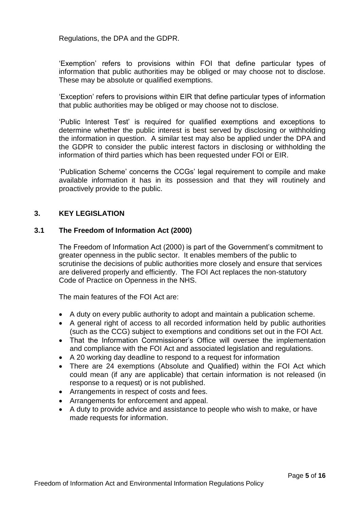Regulations, the DPA and the GDPR.

'Exemption' refers to provisions within FOI that define particular types of information that public authorities may be obliged or may choose not to disclose. These may be absolute or qualified exemptions.

'Exception' refers to provisions within EIR that define particular types of information that public authorities may be obliged or may choose not to disclose.

'Public Interest Test' is required for qualified exemptions and exceptions to determine whether the public interest is best served by disclosing or withholding the information in question. A similar test may also be applied under the DPA and the GDPR to consider the public interest factors in disclosing or withholding the information of third parties which has been requested under FOI or EIR.

'Publication Scheme' concerns the CCGs' legal requirement to compile and make available information it has in its possession and that they will routinely and proactively provide to the public.

## **3. KEY LEGISLATION**

#### **3.1 The Freedom of Information Act (2000)**

The Freedom of Information Act (2000) is part of the Government's commitment to greater openness in the public sector. It enables members of the public to scrutinise the decisions of public authorities more closely and ensure that services are delivered properly and efficiently. The FOI Act replaces the non-statutory Code of Practice on Openness in the NHS.

The main features of the FOI Act are:

- A duty on every public authority to adopt and maintain a publication scheme.
- A general right of access to all recorded information held by public authorities (such as the CCG) subject to exemptions and conditions set out in the FOI Act.
- That the Information Commissioner's Office will oversee the implementation and compliance with the FOI Act and associated legislation and regulations.
- A 20 working day deadline to respond to a request for information
- There are 24 exemptions (Absolute and Qualified) within the FOI Act which could mean (if any are applicable) that certain information is not released (in response to a request) or is not published.
- Arrangements in respect of costs and fees.
- Arrangements for enforcement and appeal.
- A duty to provide advice and assistance to people who wish to make, or have made requests for information.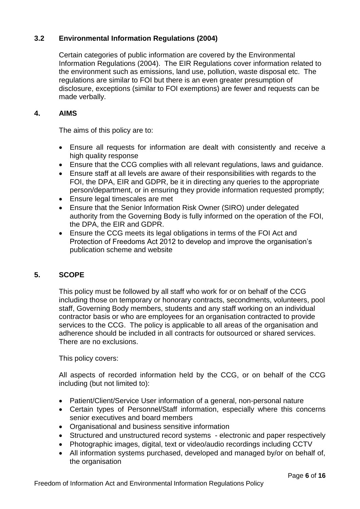## **3.2 Environmental Information Regulations (2004)**

Certain categories of public information are covered by the Environmental Information Regulations (2004). The EIR Regulations cover information related to the environment such as emissions, land use, pollution, waste disposal etc. The regulations are similar to FOI but there is an even greater presumption of disclosure, exceptions (similar to FOI exemptions) are fewer and requests can be made verbally.

## **4. AIMS**

The aims of this policy are to:

- Ensure all requests for information are dealt with consistently and receive a high quality response
- Ensure that the CCG complies with all relevant regulations, laws and guidance.
- Ensure staff at all levels are aware of their responsibilities with regards to the FOI, the DPA, EIR and GDPR, be it in directing any queries to the appropriate person/department, or in ensuring they provide information requested promptly;
- Ensure legal timescales are met
- Ensure that the Senior Information Risk Owner (SIRO) under delegated authority from the Governing Body is fully informed on the operation of the FOI, the DPA, the EIR and GDPR.
- Ensure the CCG meets its legal obligations in terms of the FOI Act and Protection of Freedoms Act 2012 to develop and improve the organisation's publication scheme and website

## **5. SCOPE**

This policy must be followed by all staff who work for or on behalf of the CCG including those on temporary or honorary contracts, secondments, volunteers, pool staff, Governing Body members, students and any staff working on an individual contractor basis or who are employees for an organisation contracted to provide services to the CCG. The policy is applicable to all areas of the organisation and adherence should be included in all contracts for outsourced or shared services. There are no exclusions.

This policy covers:

All aspects of recorded information held by the CCG, or on behalf of the CCG including (but not limited to):

- Patient/Client/Service User information of a general, non-personal nature
- Certain types of Personnel/Staff information, especially where this concerns senior executives and board members
- Organisational and business sensitive information
- Structured and unstructured record systems electronic and paper respectively
- Photographic images, digital, text or video/audio recordings including CCTV
- All information systems purchased, developed and managed by/or on behalf of, the organisation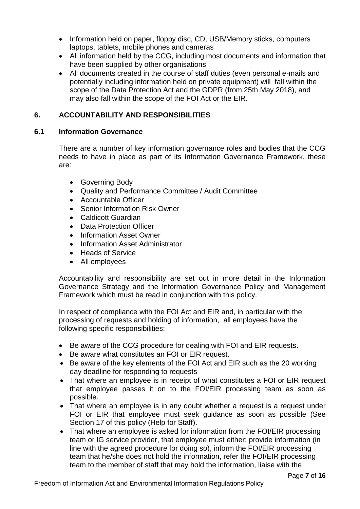- Information held on paper, floppy disc, CD, USB/Memory sticks, computers laptops, tablets, mobile phones and cameras
- All information held by the CCG, including most documents and information that have been supplied by other organisations
- All documents created in the course of staff duties (even personal e-mails and potentially including information held on private equipment) will fall within the scope of the Data Protection Act and the GDPR (from 25th May 2018), and may also fall within the scope of the FOI Act or the EIR.

## **6. ACCOUNTABILITY AND RESPONSIBILITIES**

## **6.1 Information Governance**

There are a number of key information governance roles and bodies that the CCG needs to have in place as part of its Information Governance Framework, these are:

- Governing Body
- Quality and Performance Committee / Audit Committee
- Accountable Officer
- Senior Information Risk Owner
- Caldicott Guardian
- Data Protection Officer
- Information Asset Owner
- Information Asset Administrator
- Heads of Service
- All employees

Accountability and responsibility are set out in more detail in the Information Governance Strategy and the Information Governance Policy and Management Framework which must be read in conjunction with this policy.

In respect of compliance with the FOI Act and EIR and, in particular with the processing of requests and holding of information, all employees have the following specific responsibilities:

- Be aware of the CCG procedure for dealing with FOI and EIR requests.
- Be aware what constitutes an FOI or EIR request.
- Be aware of the key elements of the FOI Act and EIR such as the 20 working day deadline for responding to requests
- That where an employee is in receipt of what constitutes a FOI or EIR request that employee passes it on to the FOI/EIR processing team as soon as possible.
- That where an employee is in any doubt whether a request is a request under FOI or EIR that employee must seek guidance as soon as possible (See Section 17 of this policy (Help for Staff).
- That where an employee is asked for information from the FOI/EIR processing team or IG service provider, that employee must either: provide information (in line with the agreed procedure for doing so), inform the FOI/EIR processing team that he/she does not hold the information, refer the FOI/EIR processing team to the member of staff that may hold the information, liaise with the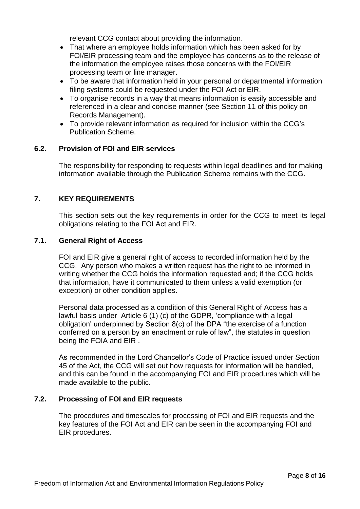relevant CCG contact about providing the information.

- That where an employee holds information which has been asked for by FOI/EIR processing team and the employee has concerns as to the release of the information the employee raises those concerns with the FOI/EIR processing team or line manager.
- To be aware that information held in your personal or departmental information filing systems could be requested under the FOI Act or EIR.
- To organise records in a way that means information is easily accessible and referenced in a clear and concise manner (see Section 11 of this policy on Records Management).
- To provide relevant information as required for inclusion within the CCG's Publication Scheme.

## **6.2. Provision of FOI and EIR services**

The responsibility for responding to requests within legal deadlines and for making information available through the Publication Scheme remains with the CCG.

## **7. KEY REQUIREMENTS**

This section sets out the key requirements in order for the CCG to meet its legal obligations relating to the FOI Act and EIR.

## **7.1. General Right of Access**

FOI and EIR give a general right of access to recorded information held by the CCG. Any person who makes a written request has the right to be informed in writing whether the CCG holds the information requested and; if the CCG holds that information, have it communicated to them unless a valid exemption (or exception) or other condition applies.

Personal data processed as a condition of this General Right of Access has a lawful basis under Article 6 (1) (c) of the GDPR, 'compliance with a legal obligation' underpinned by Section 8(c) of the DPA "the exercise of a function conferred on a person by an enactment or rule of law", the statutes in question being the FOIA and EIR .

As recommended in the Lord Chancellor's Code of Practice issued under Section 45 of the Act, the CCG will set out how requests for information will be handled, and this can be found in the accompanying FOI and EIR procedures which will be made available to the public.

## **7.2. Processing of FOI and EIR requests**

The procedures and timescales for processing of FOI and EIR requests and the key features of the FOI Act and EIR can be seen in the accompanying FOI and EIR procedures.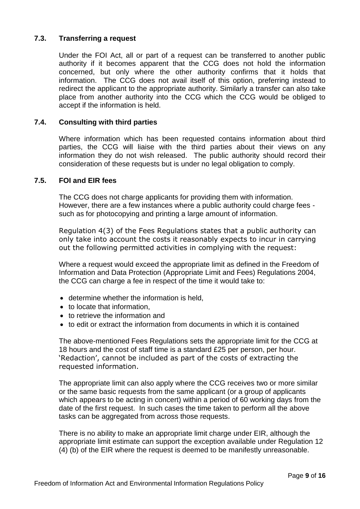## **7.3. Transferring a request**

Under the FOI Act, all or part of a request can be transferred to another public authority if it becomes apparent that the CCG does not hold the information concerned, but only where the other authority confirms that it holds that information. The CCG does not avail itself of this option, preferring instead to redirect the applicant to the appropriate authority. Similarly a transfer can also take place from another authority into the CCG which the CCG would be obliged to accept if the information is held.

#### **7.4. Consulting with third parties**

Where information which has been requested contains information about third parties, the CCG will liaise with the third parties about their views on any information they do not wish released. The public authority should record their consideration of these requests but is under no legal obligation to comply.

#### **7.5. FOI and EIR fees**

The CCG does not charge applicants for providing them with information. However, there are a few instances where a public authority could charge fees such as for photocopying and printing a large amount of information.

Regulation 4(3) of the Fees Regulations states that a public authority can only take into account the costs it reasonably expects to incur in carrying out the following permitted activities in complying with the request:

Where a request would exceed the appropriate limit as defined in the Freedom of Information and Data Protection (Appropriate Limit and Fees) Regulations 2004, the CCG can charge a fee in respect of the time it would take to:

- determine whether the information is held,
- to locate that information,
- to retrieve the information and
- to edit or extract the information from documents in which it is contained

The above-mentioned Fees Regulations sets the appropriate limit for the CCG at 18 hours and the cost of staff time is a standard £25 per person, per hour. 'Redaction', cannot be included as part of the costs of extracting the requested information.

The appropriate limit can also apply where the CCG receives two or more similar or the same basic requests from the same applicant (or a group of applicants which appears to be acting in concert) within a period of 60 working days from the date of the first request. In such cases the time taken to perform all the above tasks can be aggregated from across those requests.

There is no ability to make an appropriate limit charge under EIR, although the appropriate limit estimate can support the exception available under Regulation 12 (4) (b) of the EIR where the request is deemed to be manifestly unreasonable.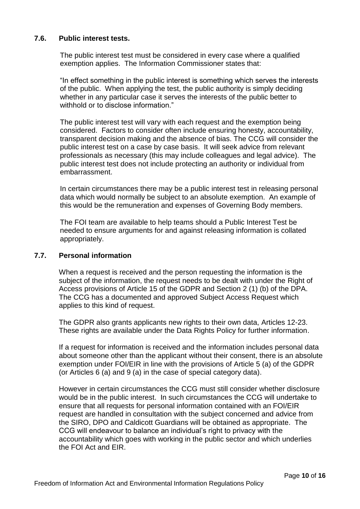## **7.6. Public interest tests.**

The public interest test must be considered in every case where a qualified exemption applies. The Information Commissioner states that:

"In effect something in the public interest is something which serves the interests of the public. When applying the test, the public authority is simply deciding whether in any particular case it serves the interests of the public better to withhold or to disclose information."

The public interest test will vary with each request and the exemption being considered. Factors to consider often include ensuring honesty, accountability, transparent decision making and the absence of bias. The CCG will consider the public interest test on a case by case basis. It will seek advice from relevant professionals as necessary (this may include colleagues and legal advice). The public interest test does not include protecting an authority or individual from embarrassment.

In certain circumstances there may be a public interest test in releasing personal data which would normally be subject to an absolute exemption. An example of this would be the remuneration and expenses of Governing Body members.

The FOI team are available to help teams should a Public Interest Test be needed to ensure arguments for and against releasing information is collated appropriately.

## **7.7. Personal information**

When a request is received and the person requesting the information is the subject of the information, the request needs to be dealt with under the Right of Access provisions of Article 15 of the GDPR and Section 2 (1) (b) of the DPA. The CCG has a documented and approved Subject Access Request which applies to this kind of request.

The GDPR also grants applicants new rights to their own data, Articles 12-23. These rights are available under the Data Rights Policy for further information.

If a request for information is received and the information includes personal data about someone other than the applicant without their consent, there is an absolute exemption under FOI/EIR in line with the provisions of Article 5 (a) of the GDPR (or Articles 6 (a) and 9 (a) in the case of special category data).

However in certain circumstances the CCG must still consider whether disclosure would be in the public interest. In such circumstances the CCG will undertake to ensure that all requests for personal information contained with an FOI/EIR request are handled in consultation with the subject concerned and advice from the SIRO, DPO and Caldicott Guardians will be obtained as appropriate. The CCG will endeavour to balance an individual's right to privacy with the accountability which goes with working in the public sector and which underlies the FOI Act and EIR.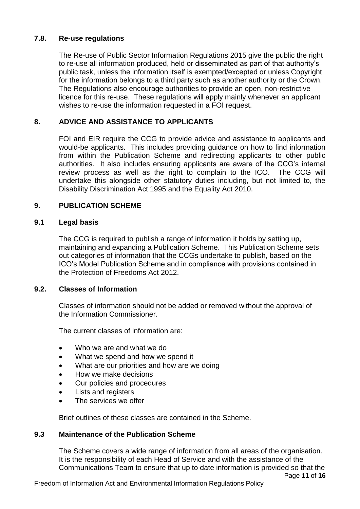## **7.8. Re-use regulations**

The Re-use of Public Sector Information Regulations 2015 give the public the right to re-use all information produced, held or disseminated as part of that authority's public task, unless the information itself is exempted/excepted or unless Copyright for the information belongs to a third party such as another authority or the Crown. The Regulations also encourage authorities to provide an open, non-restrictive licence for this re-use. These regulations will apply mainly whenever an applicant wishes to re-use the information requested in a FOI request.

## **8. ADVICE AND ASSISTANCE TO APPLICANTS**

FOI and EIR require the CCG to provide advice and assistance to applicants and would-be applicants. This includes providing guidance on how to find information from within the Publication Scheme and redirecting applicants to other public authorities. It also includes ensuring applicants are aware of the CCG's internal review process as well as the right to complain to the ICO. The CCG will undertake this alongside other statutory duties including, but not limited to, the Disability Discrimination Act 1995 and the Equality Act 2010.

## **9. PUBLICATION SCHEME**

#### **9.1 Legal basis**

The CCG is required to publish a range of information it holds by setting up, maintaining and expanding a Publication Scheme. This Publication Scheme sets out categories of information that the CCGs undertake to publish, based on the ICO's Model Publication Scheme and in compliance with provisions contained in the Protection of Freedoms Act 2012.

## **9.2. Classes of Information**

Classes of information should not be added or removed without the approval of the Information Commissioner.

The current classes of information are:

- Who we are and what we do
- What we spend and how we spend it
- What are our priorities and how are we doing
- How we make decisions
- Our policies and procedures
- Lists and registers
- The services we offer

Brief outlines of these classes are contained in the Scheme.

#### **9.3 Maintenance of the Publication Scheme**

Page **11** of **16** The Scheme covers a wide range of information from all areas of the organisation. It is the responsibility of each Head of Service and with the assistance of the Communications Team to ensure that up to date information is provided so that the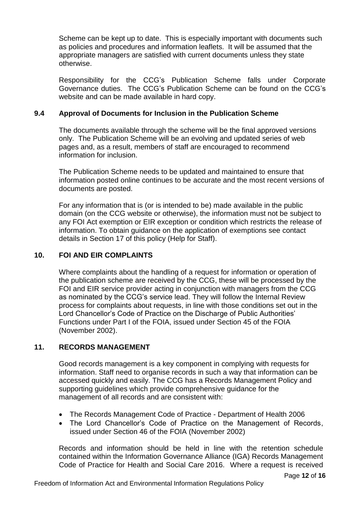Scheme can be kept up to date. This is especially important with documents such as policies and procedures and information leaflets. It will be assumed that the appropriate managers are satisfied with current documents unless they state otherwise.

Responsibility for the CCG's Publication Scheme falls under Corporate Governance duties. The CCG's Publication Scheme can be found on the CCG's website and can be made available in hard copy.

## **9.4 Approval of Documents for Inclusion in the Publication Scheme**

The documents available through the scheme will be the final approved versions only. The Publication Scheme will be an evolving and updated series of web pages and, as a result, members of staff are encouraged to recommend information for inclusion.

The Publication Scheme needs to be updated and maintained to ensure that information posted online continues to be accurate and the most recent versions of documents are posted.

For any information that is (or is intended to be) made available in the public domain (on the CCG website or otherwise), the information must not be subject to any FOI Act exemption or EIR exception or condition which restricts the release of information. To obtain guidance on the application of exemptions see contact details in Section 17 of this policy (Help for Staff).

## **10. FOI AND EIR COMPLAINTS**

Where complaints about the handling of a request for information or operation of the publication scheme are received by the CCG, these will be processed by the FOI and EIR service provider acting in conjunction with managers from the CCG as nominated by the CCG's service lead. They will follow the Internal Review process for complaints about requests, in line with those conditions set out in the Lord Chancellor's Code of Practice on the Discharge of Public Authorities' Functions under Part I of the FOIA, issued under Section 45 of the FOIA (November 2002).

## **11. RECORDS MANAGEMENT**

Good records management is a key component in complying with requests for information. Staff need to organise records in such a way that information can be accessed quickly and easily. The CCG has a Records Management Policy and supporting guidelines which provide comprehensive guidance for the management of all records and are consistent with:

- The Records Management Code of Practice Department of Health 2006
- The Lord Chancellor's Code of Practice on the Management of Records, issued under Section 46 of the FOIA (November 2002)

Records and information should be held in line with the retention schedule contained within the Information Governance Alliance (IGA) Records Management Code of Practice for Health and Social Care 2016. Where a request is received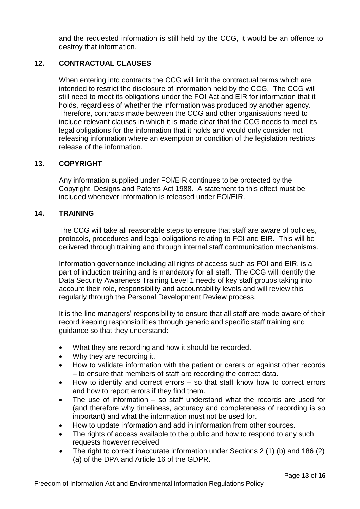and the requested information is still held by the CCG, it would be an offence to destroy that information.

## **12. CONTRACTUAL CLAUSES**

When entering into contracts the CCG will limit the contractual terms which are intended to restrict the disclosure of information held by the CCG. The CCG will still need to meet its obligations under the FOI Act and EIR for information that it holds, regardless of whether the information was produced by another agency. Therefore, contracts made between the CCG and other organisations need to include relevant clauses in which it is made clear that the CCG needs to meet its legal obligations for the information that it holds and would only consider not releasing information where an exemption or condition of the legislation restricts release of the information.

#### **13. COPYRIGHT**

Any information supplied under FOI/EIR continues to be protected by the Copyright, Designs and Patents Act 1988. A statement to this effect must be included whenever information is released under FOI/EIR.

#### **14. TRAINING**

The CCG will take all reasonable steps to ensure that staff are aware of policies, protocols, procedures and legal obligations relating to FOI and EIR. This will be delivered through training and through internal staff communication mechanisms.

Information governance including all rights of access such as FOI and EIR, is a part of induction training and is mandatory for all staff. The CCG will identify the Data Security Awareness Training Level 1 needs of key staff groups taking into account their role, responsibility and accountability levels and will review this regularly through the Personal Development Review process.

It is the line managers' responsibility to ensure that all staff are made aware of their record keeping responsibilities through generic and specific staff training and guidance so that they understand:

- What they are recording and how it should be recorded.
- Why they are recording it.
- How to validate information with the patient or carers or against other records – to ensure that members of staff are recording the correct data.
- How to identify and correct errors so that staff know how to correct errors and how to report errors if they find them.
- The use of information so staff understand what the records are used for (and therefore why timeliness, accuracy and completeness of recording is so important) and what the information must not be used for.
- How to update information and add in information from other sources.
- The rights of access available to the public and how to respond to any such requests however received
- The right to correct inaccurate information under Sections 2 (1) (b) and 186 (2) (a) of the DPA and Article 16 of the GDPR.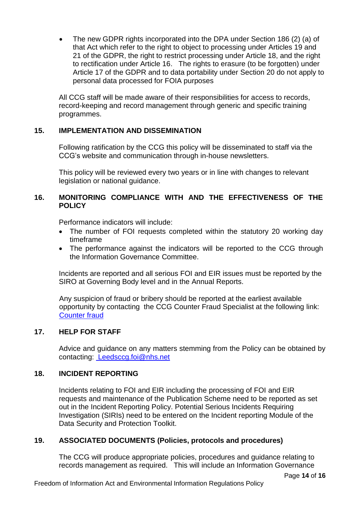The new GDPR rights incorporated into the DPA under Section 186 (2) (a) of that Act which refer to the right to object to processing under Articles 19 and 21 of the GDPR, the right to restrict processing under Article 18, and the right to rectification under Article 16. The rights to erasure (to be forgotten) under Article 17 of the GDPR and to data portability under Section 20 do not apply to personal data processed for FOIA purposes

All CCG staff will be made aware of their responsibilities for access to records, record-keeping and record management through generic and specific training programmes.

## **15. IMPLEMENTATION AND DISSEMINATION**

Following ratification by the CCG this policy will be disseminated to staff via the CCG's website and communication through in-house newsletters.

This policy will be reviewed every two years or in line with changes to relevant legislation or national guidance.

## **16. MONITORING COMPLIANCE WITH AND THE EFFECTIVENESS OF THE POLICY**

Performance indicators will include:

- The number of FOI requests completed within the statutory 20 working day timeframe
- The performance against the indicators will be reported to the CCG through the Information Governance Committee.

Incidents are reported and all serious FOI and EIR issues must be reported by the SIRO at Governing Body level and in the Annual Reports.

Any suspicion of fraud or bribery should be reported at the earliest available opportunity by contacting the CCG Counter Fraud Specialist at the following link: [Counter fraud](https://extranet.leedswestccg.nhs.uk/HRAndWorkforce/counter-fraud.htm)

## **17. HELP FOR STAFF**

Advice and guidance on any matters stemming from the Policy can be obtained by contacting: Leedsccg.foi@nhs.net

## **18. INCIDENT REPORTING**

Incidents relating to FOI and EIR including the processing of FOI and EIR requests and maintenance of the Publication Scheme need to be reported as set out in the Incident Reporting Policy. Potential Serious Incidents Requiring Investigation (SIRIs) need to be entered on the Incident reporting Module of the Data Security and Protection Toolkit.

## **19. ASSOCIATED DOCUMENTS (Policies, protocols and procedures)**

The CCG will produce appropriate policies, procedures and guidance relating to records management as required. This will include an Information Governance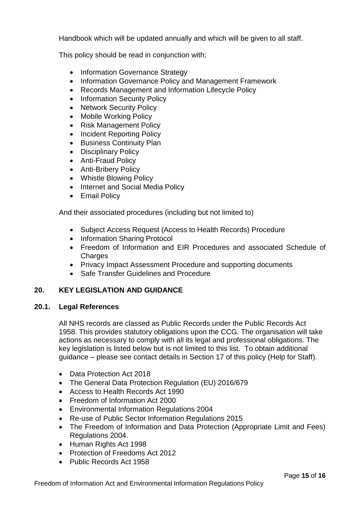Handbook which will be updated annually and which will be given to all staff.

This policy should be read in conjunction with;

- Information Governance Strategy
- Information Governance Policy and Management Framework
- Records Management and Information Lifecycle Policy
- Information Security Policy
- Network Security Policy
- Mobile Working Policy
- Risk Management Policy
- Incident Reporting Policy
- Business Continuity Plan
- Disciplinary Policy
- Anti-Fraud Policy
- Anti-Bribery Policy
- Whistle Blowing Policy
- Internet and Social Media Policy
- Email Policy

And their associated procedures (including but not limited to)

- Subject Access Request (Access to Health Records) Procedure
- Information Sharing Protocol
- Freedom of Information and EIR Procedures and associated Schedule of **Charges**
- Privacy Impact Assessment Procedure and supporting documents
- Safe Transfer Guidelines and Procedure

## **20. KEY LEGISLATION AND GUIDANCE**

## **20.1. Legal References**

All NHS records are classed as Public Records under the Public Records Act 1958. This provides statutory obligations upon the CCG. The organisation will take actions as necessary to comply with all its legal and professional obligations. The key legislation is listed below but is not limited to this list. To obtain additional guidance – please see contact details in Section 17 of this policy (Help for Staff).

- Data Protection Act 2018
- The General Data Protection Regulation (EU) 2016/679
- Access to Health Records Act 1990
- Freedom of Information Act 2000
- Environmental Information Regulations 2004
- Re-use of Public Sector Information Regulations 2015
- The Freedom of Information and Data Protection (Appropriate Limit and Fees) Regulations 2004.
- Human Rights Act 1998
- Protection of Freedoms Act 2012
- Public Records Act 1958